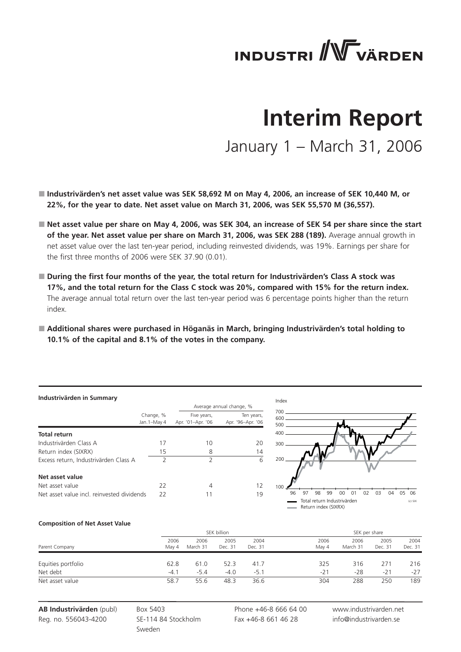# **INDUSTRI** WVÄRDEN

## **Interim Report**

January 1 – March 31, 2006

- **Industrivärden's net asset value was SEK 58,692 M on May 4, 2006, an increase of SEK 10,440 M, or 22%, for the year to date. Net asset value on March 31, 2006, was SEK 55,570 M (36,557).**
- Net asset value per share on May 4, 2006, was SEK 304, an increase of SEK 54 per share since the start **of the year. Net asset value per share on March 31, 2006, was SEK 288 (189).** Average annual growth in net asset value over the last ten-year period, including reinvested dividends, was 19%. Earnings per share for the first three months of 2006 were SEK 37.90 (0.01).
- **During the first four months of the year, the total return for Industrivärden's Class A stock was 17%, and the total return for the Class C stock was 20%, compared with 15% for the return index.**  The average annual total return over the last ten-year period was 6 percentage points higher than the return index.
- **Additional shares were purchased in Höganäs in March, bringing Industrivärden's total holding to 10.1% of the capital and 8.1% of the votes in the company.**

#### **Industrivärden in Summary**

|                                            |               |                   | Average annual change, % |
|--------------------------------------------|---------------|-------------------|--------------------------|
|                                            | Change, %     | Five years,       | Ten years,               |
|                                            | Jan. 1-May 4  | Apr. '01-Apr. '06 | Apr. '96-Apr. '06        |
| Total return                               |               |                   |                          |
| Industrivärden Class A                     | 17            | 10                | 20                       |
| Return index (SIXRX)                       | 15            | 8                 | 14                       |
| Excess return, Industrivärden Class A      | $\mathcal{P}$ | $\mathcal{P}$     | 6                        |
| Net asset value                            |               |                   |                          |
| Net asset value                            | 22            | 4                 | 12                       |
| Net asset value incl. reinvested dividends | 22            | 11                | 19                       |



#### **Composition of Net Asset Value**

|                    |               | SEK billion      |                 |                 |               | SEK per share    |                 |                 |  |
|--------------------|---------------|------------------|-----------------|-----------------|---------------|------------------|-----------------|-----------------|--|
| Parent Company     | 2006<br>May 4 | 2006<br>March 31 | 2005<br>Dec. 31 | 2004<br>Dec. 31 | 2006<br>May 4 | 2006<br>March 31 | 2005<br>Dec. 31 | 2004<br>Dec. 31 |  |
| Equities portfolio | 62.8          | 61.0             | 52.3            | 41.7            | 325           | 316              | 271             | 216             |  |
| Net debt           | $-4.1$        | $-5.4$           | $-4.0$          | $-5.1$          | $-21$         | -28              | $-21$           | $-27$           |  |
| Net asset value    | 58.7          | 55.6             | 48.3            | 36.6            | 304           | 288              | 250             | 189             |  |

**AB Industrivärden** (publ) Reg. no. 556043-4200

Box 5403 SE-114 84 Stockholm Sweden

Phone +46-8 666 64 00 Fax +46-8 661 46 28

www.industrivarden.net info@industrivarden.se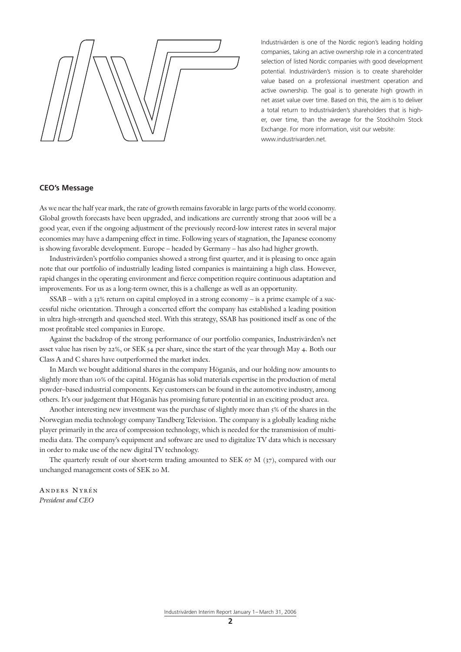Industrivärden is one of the Nordic region's leading holding companies, taking an active ownership role in a concentrated selection of listed Nordic companies with good development potential. Industrivärden's mission is to create shareholder value based on a professional investment operation and active ownership. The goal is to generate high growth in net asset value over time. Based on this, the aim is to deliver a total return to Industrivärden's shareholders that is higher, over time, than the average for the Stockholm Stock Exchange. For more information, visit our website: www.industrivarden.net.

#### **CEO's Message**

As we near the half year mark, the rate of growth remains favorable in large parts of the world economy. Global growth forecasts have been upgraded, and indications are currently strong that 2006 will be a good year, even if the ongoing adjustment of the previously record-low interest rates in several major economies may have a dampening effect in time. Following years of stagnation, the Japanese economy is showing favorable development. Europe – headed by Germany – has also had higher growth.

Industrivärden's portfolio companies showed a strong first quarter, and it is pleasing to once again note that our portfolio of industrially leading listed companies is maintaining a high class. However, rapid changes in the operating environment and fierce competition require continuous adaptation and improvements. For us as a long-term owner, this is a challenge as well as an opportunity.

SSAB – with a 33% return on capital employed in a strong economy – is a prime example of a successful niche orientation. Through a concerted effort the company has established a leading position in ultra high-strength and quenched steel. With this strategy, SSAB has positioned itself as one of the most profitable steel companies in Europe.

Against the backdrop of the strong performance of our portfolio companies, Industrivärden's net asset value has risen by 22%, or SEK 54 per share, since the start of the year through May 4. Both our Class A and C shares have outperformed the market index.

In March we bought additional shares in the company Höganäs, and our holding now amounts to slightly more than 10% of the capital. Höganäs has solid materials expertise in the production of metal powder–based industrial components. Key customers can be found in the automotive industry, among others. It's our judgement that Höganäs has promising future potential in an exciting product area.

Another interesting new investment was the purchase of slightly more than 5% of the shares in the Norwegian media technology company Tandberg Television. The company is a globally leading niche player primarily in the area of compression technology, which is needed for the transmission of multimedia data. The company's equipment and software are used to digitalize TV data which is necessary in order to make use of the new digital TV technology.

The quarterly result of our short-term trading amounted to SEK 67 M  $(37)$ , compared with our unchanged management costs of SEK 20 M.

anders nyrén *President and CEO*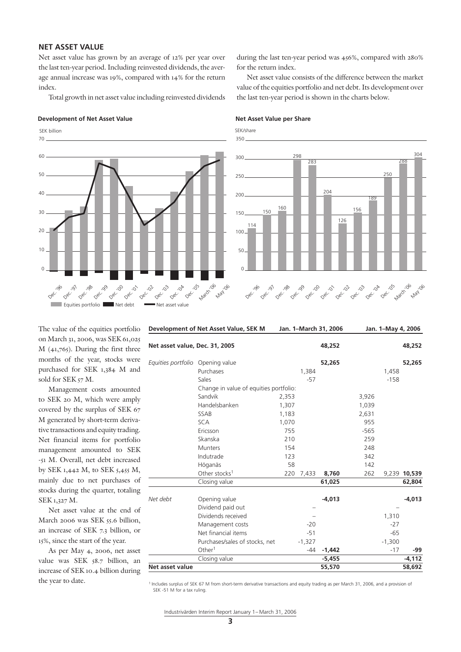### **NET ASSET VALUE**

Net asset value has grown by an average of 12% per year over the last ten-year period. Including reinvested dividends, the average annual increase was 19%, compared with 14% for the return index.

Total growth in net asset value including reinvested dividends

#### **Development of Net Asset Value**  Net Asset Value per Share

 $\overline{0}$ 10  $20$ 30  $40$ 50 70 60 Equities portfolio Net debt Net asset value Dec. Dec. 08c.<br>Dec. 08c. , 199 Dec. 00 Dec. 0  $0^{e^C}$  $0^{6}$  $0e^C$ Dec. **May** 106 March '06 SEK billion

during the last ten-year period was 456%, compared with 280% for the return index.

Net asset value consists of the difference between the market value of the equities portfolio and net debt. Its development over the last ten-year period is shown in the charts below.

SEK/share



The value of the equities portfolio on March 31, 2006, was SEK 61,025 M (41,765). During the first three months of the year, stocks were purchased for SEK 1,384 M and sold for SEK 57 M.

Management costs amounted to SEK 20 M, which were amply covered by the surplus of SEK 67 M generated by short-term derivative transactions and equity trading. Net financial items for portfolio management amounted to SEK -51 M. Overall, net debt increased by SEK 1,442 M, to SEK 5,455 M, mainly due to net purchases of stocks during the quarter, totaling SEK 1,327 M.

Net asset value at the end of March 2006 was SEK 55.6 billion, an increase of SEK 7.3 billion, or 15%, since the start of the year.

As per May 4, 2006, net asset value was SEK 58.7 billion, an increase of SEK 10.4 billion during the year to date.

| Development of Net Asset Value, SEK M |                                        | Jan. 1-March 31, 2006 |          | Jan. 1-May 4, 2006 |          |              |
|---------------------------------------|----------------------------------------|-----------------------|----------|--------------------|----------|--------------|
| Net asset value, Dec. 31, 2005        |                                        |                       | 48,252   |                    |          | 48,252       |
| Equities portfolio                    | Opening value                          |                       | 52,265   |                    |          | 52,265       |
|                                       | Purchases                              | 1,384                 |          |                    | 1,458    |              |
|                                       | Sales                                  | $-57$                 |          |                    | $-158$   |              |
|                                       | Change in value of equities portfolio: |                       |          |                    |          |              |
|                                       | Sandvik                                | 2,353                 |          | 3,926              |          |              |
|                                       | Handelsbanken                          | 1,307                 |          | 1,039              |          |              |
|                                       | SSAB                                   | 1,183                 |          | 2,631              |          |              |
|                                       | <b>SCA</b>                             | 1,070                 |          | 955                |          |              |
|                                       | Ericsson                               | 755                   |          | $-565$             |          |              |
|                                       | Skanska                                | 210                   |          | 259                |          |              |
|                                       | <b>Munters</b>                         | 154                   |          | 248                |          |              |
|                                       | Indutrade                              | 123                   |          | 342                |          |              |
|                                       | Höganäs                                | 58                    |          | 142                |          |              |
|                                       | Other stocks <sup>1</sup>              | 220<br>7,433          | 8,760    | 262                |          | 9,239 10,539 |
|                                       | Closing value                          |                       | 61,025   |                    |          | 62,804       |
| Net debt                              | Opening value                          |                       | $-4,013$ |                    |          | $-4,013$     |
|                                       | Dividend paid out                      |                       |          |                    |          |              |
|                                       | Dividends received                     |                       |          |                    | 1,310    |              |
|                                       | Management costs                       | $-20$                 |          |                    | $-27$    |              |
|                                       | Net financial items                    | $-51$                 |          |                    | $-65$    |              |
|                                       | Purchases/sales of stocks, net         | $-1,327$              |          |                    | $-1,300$ |              |
|                                       | Other <sup>1</sup>                     | $-44$                 | $-1,442$ |                    | $-17$    | -99          |
|                                       | Closing value                          |                       | $-5,455$ |                    |          | $-4,112$     |
| Net asset value                       |                                        |                       | 55,570   |                    |          | 58,692       |

1 Includes surplus of SEK 67 M from short-term derivative transactions and equity trading as per March 31, 2006, and a provision of SEK -51 M for a tax ruling.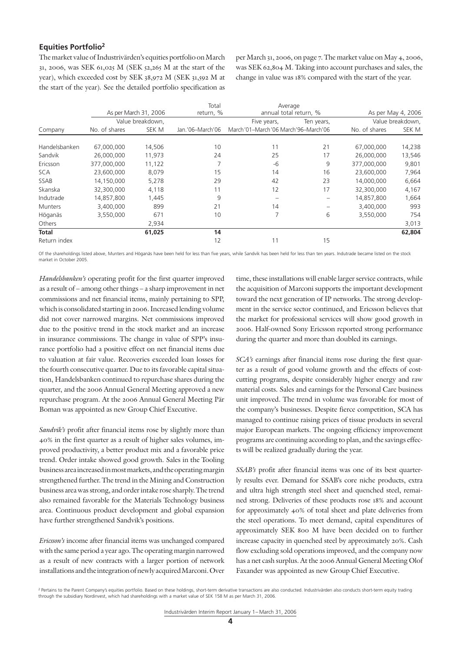### **Equities Portfolio2**

The market value of Industrivärden's equities portfolio on March 31, 2006, was SEK 61,025 M (SEK 52,265 M at the start of the year), which exceeded cost by SEK 38,972 M (SEK 31,592 M at the start of the year). See the detailed portfolio specification as

per March 31, 2006, on page 7. The market value on May 4, 2006, was SEK 62,804 M. Taking into account purchases and sales, the change in value was 18% compared with the start of the year.

|                |               |                       | Total            | Average                             |                          |               |                    |
|----------------|---------------|-----------------------|------------------|-------------------------------------|--------------------------|---------------|--------------------|
|                |               | As per March 31, 2006 | return, %        |                                     | annual total return, %   |               | As per May 4, 2006 |
|                |               | Value breakdown.      |                  | Five years,                         | Ten years,               |               | Value breakdown,   |
| Company        | No. of shares | SEK M                 | Jan.'06-March'06 | March'01-March'06 March'96-March'06 |                          | No. of shares | SEK M              |
|                |               |                       |                  |                                     |                          |               |                    |
| Handelsbanken  | 67,000,000    | 14,506                | 10               | 11                                  | 21                       | 67,000,000    | 14,238             |
| Sandvik        | 26,000,000    | 11,973                | 24               | 25                                  | 17                       | 26,000,000    | 13,546             |
| Ericsson       | 377,000,000   | 11,122                |                  | -6                                  | 9                        | 377,000,000   | 9,801              |
| <b>SCA</b>     | 23,600,000    | 8,079                 | 15               | 14                                  | 16                       | 23,600,000    | 7,964              |
| <b>SSAB</b>    | 14,150,000    | 5,278                 | 29               | 42                                  | 23                       | 14,000,000    | 6,664              |
| Skanska        | 32,300,000    | 4,118                 | 11               | 12                                  | 17                       | 32,300,000    | 4,167              |
| Indutrade      | 14,857,800    | 1,445                 | 9                |                                     | $\overline{\phantom{0}}$ | 14,857,800    | 1,664              |
| <b>Munters</b> | 3,400,000     | 899                   | 21               | 14                                  |                          | 3,400,000     | 993                |
| Höganäs        | 3,550,000     | 671                   | 10               | 7                                   | 6                        | 3,550,000     | 754                |
| Others         |               | 2,934                 |                  |                                     |                          |               | 3,013              |
| <b>Total</b>   |               | 61,025                | 14               |                                     |                          |               | 62,804             |
| Return index   |               |                       | 12               | 11                                  | 15                       |               |                    |

Of the shareholdings listed above, Munters and Höganäs have been held for less than five years, while Sandvik has been held for less than ten years. Indutrade became listed on the stock market in October 2005.

*Handelsbanken's* operating profit for the first quarter improved as a result of – among other things – a sharp improvement in net commissions and net financial items, mainly pertaining to SPP, which is consolidated starting in 2006. Increased lending volume did not cover narrowed margins. Net commissions improved due to the positive trend in the stock market and an increase in insurance commissions. The change in value of SPP's insurance portfolio had a positive effect on net financial items due to valuation at fair value. Recoveries exceeded loan losses for the fourth consecutive quarter. Due to its favorable capital situation, Handelsbanken continued to repurchase shares during the quarter, and the 2006 Annual General Meeting approved a new repurchase program. At the 2006 Annual General Meeting Pär Boman was appointed as new Group Chief Executive.

*Sandvik's* profit after financial items rose by slightly more than 40% in the first quarter as a result of higher sales volumes, improved productivity, a better product mix and a favorable price trend. Order intake showed good growth. Sales in the Tooling business area increased in most markets, and the operating margin strengthened further. The trend in the Mining and Construction business area was strong, and order intake rose sharply. The trend also remained favorable for the Materials Technology business area. Continuous product development and global expansion have further strengthened Sandvik's positions.

*Ericsson's* income after financial items was unchanged compared with the same period a year ago. The operating margin narrowed as a result of new contracts with a larger portion of network installations and the integration of newly acquired Marconi. Over time, these installations will enable larger service contracts, while the acquisition of Marconi supports the important development toward the next generation of IP networks. The strong development in the service sector continued, and Ericsson believes that the market for professional services will show good growth in 2006. Half-owned Sony Ericsson reported strong performance during the quarter and more than doubled its earnings.

*SCA's* earnings after financial items rose during the first quarter as a result of good volume growth and the effects of costcutting programs, despite considerably higher energy and raw material costs. Sales and earnings for the Personal Care business unit improved. The trend in volume was favorable for most of the company's businesses. Despite fierce competition, SCA has managed to continue raising prices of tissue products in several major European markets. The ongoing efficiency improvement programs are continuing according to plan, and the savings effects will be realized gradually during the year.

*SSAB's* profit after financial items was one of its best quarterly results ever. Demand for SSAB's core niche products, extra and ultra high strength steel sheet and quenched steel, remained strong. Deliveries of these products rose 18% and account for approximately 40% of total sheet and plate deliveries from the steel operations. To meet demand, capital expenditures of approximately SEK 800 M have been decided on to further increase capacity in quenched steel by approximately 20%. Cash flow excluding sold operations improved, and the company now has a net cash surplus. At the 2006 Annual General Meeting Olof Faxander was appointed as new Group Chief Executive.

<sup>&</sup>lt;sup>2</sup> Pertains to the Parent Company's equities portfolio. Based on these holdings, short-term derivative transactions are also conducted. Industrivarden also conducts short-term equity trading through the subsidiary Nordinvest, which had shareholdings with a market value of SEK 158 M as per March 31, 2006.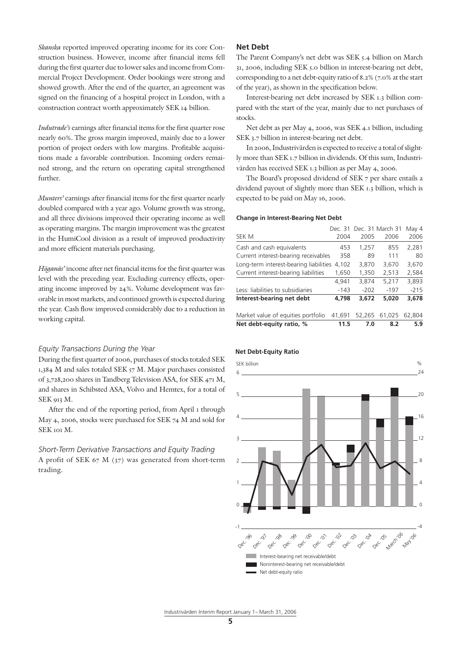*Skanska* reported improved operating income for its core Construction business. However, income after financial items fell during the first quarter due to lower sales and income from Commercial Project Development. Order bookings were strong and showed growth. After the end of the quarter, an agreement was signed on the financing of a hospital project in London, with a construction contract worth approximately SEK 14 billion.

*Indutrade's* earnings after financial items for the first quarter rose nearly 60%. The gross margin improved, mainly due to a lower portion of project orders with low margins. Profitable acquisitions made a favorable contribution. Incoming orders remained strong, and the return on operating capital strengthened further.

*Munters'* earnings after financial items for the first quarter nearly doubled compared with a year ago. Volume growth was strong, and all three divisions improved their operating income as well as operating margins. The margin improvement was the greatest in the HumiCool division as a result of improved productivity and more efficient materials purchasing.

*Höganäs'* income after net financial items for the first quarter was level with the preceding year. Excluding currency effects, operating income improved by 24%. Volume development was favorable in most markets, and continued growth is expected during the year. Cash flow improved considerably due to a reduction in working capital.

#### *Equity Transactions During the Year*

During the first quarter of 2006, purchases of stocks totaled SEK 1,384 M and sales totaled SEK 57 M. Major purchases consisted of 3,728,200 shares in Tandberg Television ASA, for SEK 471 M, and shares in Schibsted ASA, Volvo and Hemtex, for a total of SEK 913 M.

After the end of the reporting period, from April 1 through May 4, 2006, stocks were purchased for SEK 74 M and sold for SEK 101 M.

*Short-Term Derivative Transactions and Equity Trading* A profit of SEK 67 M (37) was generated from short-term trading.

#### **Net Debt**

The Parent Company's net debt was SEK 5.4 billion on March 31, 2006, including SEK 5.0 billion in interest-bearing net debt, corresponding to a net debt-equity ratio of 8.2% (7.0% at the start of the year), as shown in the specification below.

Interest-bearing net debt increased by SEK 1.3 billion compared with the start of the year, mainly due to net purchases of stocks.

Net debt as per May 4, 2006, was SEK 4.1 billion, including SEK 3.7 billion in interest-bearing net debt.

In 2006, Industrivärden is expected to receive a total of slightly more than SEK 1.7 billion in dividends. Of this sum, Industrivärden has received SEK 1.3 billion as per May 4, 2006.

The Board's proposed dividend of SEK 7 per share entails a dividend payout of slightly more than SEK 1.3 billion, which is expected to be paid on May 16, 2006.

#### **Change in Interest-Bearing Net Debt**

| Net debt-equity ratio, %               | 11.5   | 7.0    | 8.2                      | 5.9    |
|----------------------------------------|--------|--------|--------------------------|--------|
| Market value of equities portfolio     | 41.691 | 52.265 | 61,025                   | 62.804 |
| Interest-bearing net debt              | 4,798  | 3,672  | 5,020                    | 3,678  |
| Less: liabilities to subsidiaries      | $-143$ | $-202$ | $-197$                   | $-215$ |
|                                        | 4,941  | 3,874  | 5,217                    | 3,893  |
| Current interest-bearing liabilities   | 1,650  | 1,350  | 2,513                    | 2,584  |
| Long-term interest-bearing liabilities | 4,102  | 3,870  | 3,670                    | 3,670  |
| Current interest-bearing receivables   | 358    | 89     | 111                      | 80     |
| Cash and cash equivalents              | 453    | 1,257  | 855                      | 2,281  |
| SEK M                                  | 2004   | 2005   | 2006                     | 2006   |
|                                        |        |        | Dec. 31 Dec. 31 March 31 | May 4  |

#### **Net Debt-Equity Ratio**

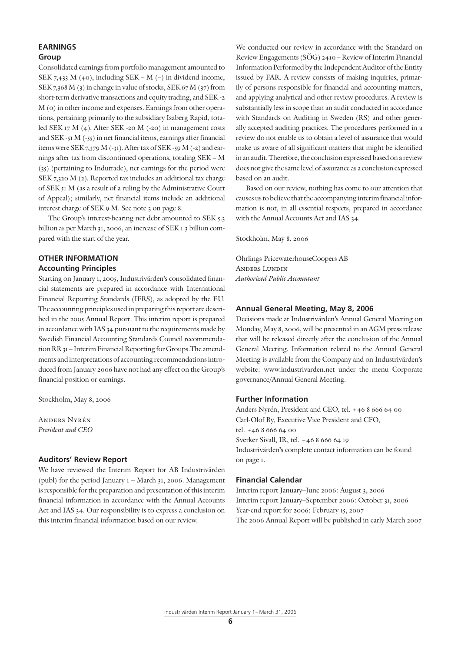## **EARNINGS**

### **Group**

Consolidated earnings from portfolio management amounted to SEK 7,433 M (40), including SEK – M (–) in dividend income, SEK 7,368 M (3) in change in value of stocks, SEK 67 M (37) from short-term derivative transactions and equity trading, and SEK -2 M (0) in other income and expenses. Earnings from other operations, pertaining primarily to the subsidiary Isaberg Rapid, totaled SEK 17 M (4). After SEK -20 M (-20) in management costs and SEK -51 M (-55) in net financial items, earnings after financial items were SEK 7,379 M (-31). After tax of SEK -59 M (-2) and earnings after tax from discontinued operations, totaling SEK – M (35) (pertaining to Indutrade), net earnings for the period were SEK 7,320 M (2). Reported tax includes an additional tax charge of SEK 51 M (as a result of a ruling by the Administrative Court of Appeal); similarly, net financial items include an additional interest charge of SEK 9 M. See note 3 on page 8.

The Group's interest-bearing net debt amounted to SEK 5.3 billion as per March 31, 2006, an increase of SEK 1.3 billion compared with the start of the year.

## **OTHER INFORMATION**

## **Accounting Principles**

Starting on January 1, 2005, Industrivärden's consolidated financial statements are prepared in accordance with International Financial Reporting Standards (IFRS), as adopted by the EU. The accounting principles used in preparing this report are described in the 2005 Annual Report. This interim report is prepared in accordance with IAS 34 pursuant to the requirements made by Swedish Financial Accounting Standards Council recommendation RR 31 – Interim Financial Reporting for Groups.The amendments and interpretations of accounting recommendations introduced from January 2006 have not had any effect on the Group's financial position or earnings.

Stockholm, May 8, 2006

Anders Nyrén *President and CEO*

#### **Auditors' Review Report**

We have reviewed the Interim Report for AB Industrivärden (publ) for the period January 1 – March 31, 2006. Management is responsible for the preparation and presentation of this interim financial information in accordance with the Annual Accounts Act and IAS 34. Our responsibility is to express a conclusion on this interim financial information based on our review.

We conducted our review in accordance with the Standard on Review Engagements (SÖG) 2410 – Review of Interim Financial Information Performed by the Independent Auditor of the Entity issued by FAR. A review consists of making inquiries, primarily of persons responsible for financial and accounting matters, and applying analytical and other review procedures. A review is substantially less in scope than an audit conducted in accordance with Standards on Auditing in Sweden (RS) and other generally accepted auditing practices. The procedures performed in a review do not enable us to obtain a level of assurance that would make us aware of all significant matters that might be identified in an audit. Therefore, the conclusion expressed based on a review does not give the same level of assurance as a conclusion expressed based on an audit.

Based on our review, nothing has come to our attention that causes us to believe that the accompanying interim financial information is not, in all essential respects, prepared in accordance with the Annual Accounts Act and IAS 34.

Stockholm, May 8, 2006

Öhrlings PricewaterhouseCoopers AB Anders Lundin *Authorized Public Accountant*

#### **Annual General Meeting, May 8, 2006**

Decisions made at Industrivärden's Annual General Meeting on Monday, May 8, 2006, will be presented in an AGM press release that will be released directly after the conclusion of the Annual General Meeting. Information related to the Annual General Meeting is available from the Company and on Industrivärden's website: www.industrivarden.net under the menu Corporate governance/Annual General Meeting.

#### **Further Information**

Anders Nyrén, President and CEO, tel. +46 8 666 64 00 Carl-Olof By, Executive Vice President and CFO, tel. +46 8 666 64 00 Sverker Sivall, IR, tel. +46 8 666 64 19 Industrivärden's complete contact information can be found on page 1.

#### **Financial Calendar**

Interim report January–June 2006: August 3, 2006 Interim report January–September 2006: October 31, 2006 Year-end report for 2006: February 15, 2007 The 2006 Annual Report will be published in early March 2007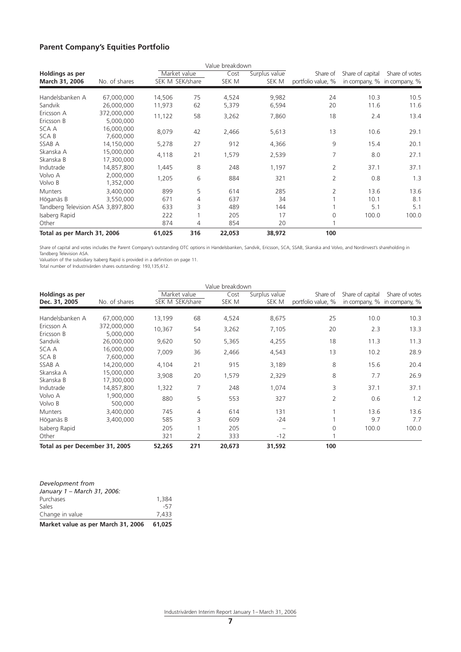### **Parent Company's Equities Portfolio**

|                                          |                          |                                 |     | Value breakdown |                        |                                |                  |                                               |
|------------------------------------------|--------------------------|---------------------------------|-----|-----------------|------------------------|--------------------------------|------------------|-----------------------------------------------|
| <b>Holdings as per</b><br>March 31, 2006 | No. of shares            | Market value<br>SEK M SEK/share |     | Cost<br>SEK M   | Surplus value<br>SEK M | Share of<br>portfolio value, % | Share of capital | Share of votes<br>in company, % in company, % |
| Handelsbanken A                          | 67,000,000               | 14,506                          | 75  | 4,524           | 9,982                  | 24                             | 10.3             | 10.5                                          |
| Sandvik                                  | 26,000,000               | 11,973                          | 62  | 5,379           | 6,594                  | 20                             | 11.6             | 11.6                                          |
| Ericsson A<br>Ericsson B                 | 372,000,000<br>5,000,000 | 11,122                          | 58  | 3,262           | 7,860                  | 18                             | 2.4              | 13.4                                          |
| SCA A<br>SCA B                           | 16,000,000<br>7,600,000  | 8,079                           | 42  | 2,466           | 5,613                  | 13                             | 10.6             | 29.1                                          |
| SSAB A                                   | 14,150,000               | 5,278                           | 27  | 912             | 4,366                  | 9                              | 15.4             | 20.1                                          |
| Skanska A<br>Skanska B                   | 15,000,000<br>17,300,000 | 4,118                           | 21  | 1,579           | 2,539                  | 7                              | 8.0              | 27.1                                          |
| Indutrade                                | 14,857,800               | 1,445                           | 8   | 248             | 1,197                  | 2                              | 37.1             | 37.1                                          |
| Volvo A<br>Volvo B                       | 2,000,000<br>1,352,000   | 1,205                           | 6   | 884             | 321                    | 2                              | 0.8              | 1.3                                           |
| <b>Munters</b>                           | 3,400,000                | 899                             | 5   | 614             | 285                    | $\overline{2}$                 | 13.6             | 13.6                                          |
| Höganäs B                                | 3,550,000                | 671                             | 4   | 637             | 34                     |                                | 10.1             | 8.1                                           |
| Tandberg Television ASA 3,897,800        |                          | 633                             | 3   | 489             | 144                    |                                | 5.1              | 5.1                                           |
| Isaberg Rapid<br>Other                   |                          | 222<br>874                      | 4   | 205<br>854      | 17<br>20               | 0                              | 100.0            | 100.0                                         |
| Total as per March 31, 2006              |                          | 61,025                          | 316 | 22,053          | 38,972                 | 100                            |                  |                                               |

Share of capital and votes includes the Parent Company's outstanding OTC options in Handelsbanken, Sandvik, Ericsson, SCA, SSAB, Skanska and Volvo, and Nordinvest's shareholding in Tandberg Television ASA.

Valuation of the subsidiary Isaberg Rapid is provided in a definition on page 11.

Total number of Industrivärden shares outstanding: 193,135,612.

|                                |                          |                 |     | Value breakdown |               |                    |                  |                             |
|--------------------------------|--------------------------|-----------------|-----|-----------------|---------------|--------------------|------------------|-----------------------------|
| Holdings as per                |                          | Market value    |     | Cost            | Surplus value | Share of           | Share of capital | Share of votes              |
| Dec. 31, 2005                  | No. of shares            | SEK M SEK/share |     | SEK M           | SEK M         | portfolio value, % |                  | in company, % in company, % |
| Handelsbanken A                | 67,000,000               | 13,199          | 68  | 4,524           | 8,675         | 25                 | 10.0             | 10.3                        |
| Ericsson A<br>Ericsson B       | 372,000,000<br>5,000,000 | 10,367          | 54  | 3,262           | 7,105         | 20                 | 2.3              | 13.3                        |
| Sandvik                        | 26,000,000               | 9,620           | 50  | 5,365           | 4,255         | 18                 | 11.3             | 11.3                        |
| SCA A<br>SCA B                 | 16,000,000<br>7,600,000  | 7,009           | 36  | 2,466           | 4,543         | 13                 | 10.2             | 28.9                        |
| SSAB A                         | 14,200,000               | 4,104           | 21  | 915             | 3,189         | 8                  | 15.6             | 20.4                        |
| Skanska A<br>Skanska B         | 15,000,000<br>17,300,000 | 3,908           | 20  | 1,579           | 2,329         | 8                  | 7.7              | 26.9                        |
| Indutrade                      | 14,857,800               | 1,322           | 7   | 248             | 1,074         | 3                  | 37.1             | 37.1                        |
| Volvo A<br>Volvo B             | 1,900,000<br>500,000     | 880             | 5   | 553             | 327           | $\overline{2}$     | 0.6              | 1.2                         |
| <b>Munters</b>                 | 3,400,000                | 745             | 4   | 614             | 131           |                    | 13.6             | 13.6                        |
| Höganäs B                      | 3,400,000                | 585             | 3   | 609             | -24           |                    | 9.7              | 7.7                         |
| Isaberg Rapid                  |                          | 205             |     | 205             |               | $\Omega$           | 100.0            | 100.0                       |
| Other                          |                          | 321             | 2   | 333             | $-12$         |                    |                  |                             |
| Total as per December 31, 2005 |                          | 52,265          | 271 | 20,673          | 31,592        | 100                |                  |                             |

| Development from                   |        |
|------------------------------------|--------|
| January 1 - March 31, 2006:        |        |
| Purchases                          | 1,384  |
| Sales                              | $-57$  |
| Change in value                    | 7.433  |
| Market value as per March 31, 2006 | 61.025 |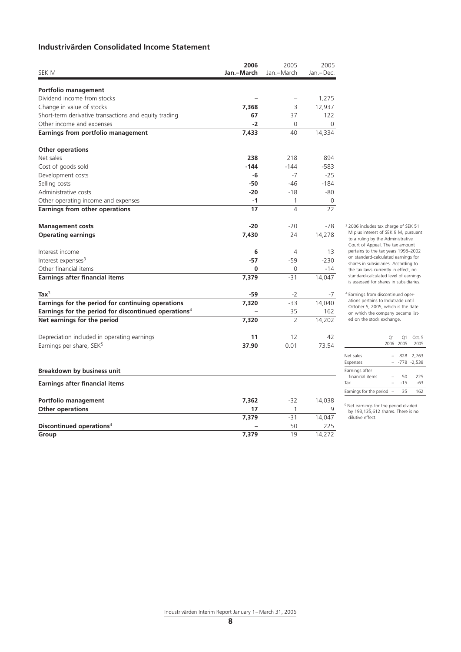## **Industrivärden Consolidated Income Statement**

|                                                                  | 2006       | 2005           | 2005      |
|------------------------------------------------------------------|------------|----------------|-----------|
| SEK M                                                            | Jan.-March | Jan.-March     | Jan.-Dec. |
| Portfolio management                                             |            |                |           |
| Dividend income from stocks                                      |            |                | 1,275     |
| Change in value of stocks                                        | 7,368      | 3              | 12,937    |
| Short-term derivative transactions and equity trading            | 67         | 37             | 122       |
| Other income and expenses                                        | $-2$       | 0              | 0         |
| Earnings from portfolio management                               | 7,433      | 40             | 14,334    |
| <b>Other operations</b>                                          |            |                |           |
| Net sales                                                        | 238        | 218            | 894       |
| Cost of goods sold                                               | $-144$     | $-144$         | $-583$    |
| Development costs                                                | $-6$       | $-7$           | $-25$     |
| Selling costs                                                    | $-50$      | $-46$          | $-184$    |
| Administrative costs                                             | $-20$      | $-18$          | -80       |
| Other operating income and expenses                              | $-1$       | $\mathbf{1}$   | 0         |
| <b>Earnings from other operations</b>                            | 17         | $\overline{4}$ | 22        |
| <b>Management costs</b>                                          | $-20$      | $-20$          | -78       |
| <b>Operating earnings</b>                                        | 7,430      | 24             | 14,278    |
| Interest income                                                  | 6          | 4              | 13        |
| Interest expenses <sup>3</sup>                                   | -57        | $-59$          | $-230$    |
| Other financial items                                            | 0          | 0              | $-14$     |
| <b>Earnings after financial items</b>                            | 7,379      | $-31$          | 14,047    |
| Ta $x^3$                                                         | $-59$      | -2             | -7        |
| Earnings for the period for continuing operations                | 7,320      | $-33$          | 14,040    |
| Earnings for the period for discontinued operations <sup>4</sup> |            | 35             | 162       |
| Net earnings for the period                                      | 7,320      | $\overline{2}$ | 14,202    |
| Depreciation included in operating earnings                      | 11         | 12             | 42        |
| Earnings per share, SEK <sup>5</sup>                             | 37.90      | 0.01           | 73.54     |
| <b>Breakdown by business unit</b>                                |            |                |           |
| Earnings after financial items                                   |            |                |           |
| Portfolio management                                             | 7,362      | $-32$          | 14,038    |
| <b>Other operations</b>                                          | 17         | 1              |           |
|                                                                  | 7,379      | $-31$          | 14,047    |
| Discontinued operations <sup>4</sup>                             |            | 50             | 225       |
| Group                                                            | 7,379      | 19             | 14,272    |

<sup>3</sup> 2006 includes tax charge of SEK 51 M plus interest of SEK 9 M, pursuant to a ruling by the Administrative Court of Appeal. The tax amount pertains to the tax years 1998–2002 on standard-calculated earnings for shares in subsidiaries. According to the tax laws currently in effect, no standard-calculated level of earnings is assessed for shares in subsidiaries.

4 Earnings from discontinued operations pertains to Indutrade until October 5, 2005, which is the date on which the company became listed on the stock exchange.

|                             | O <sub>1</sub> | O <sub>1</sub> | Oct. 5         |
|-----------------------------|----------------|----------------|----------------|
|                             |                | 2006 2005      | 2005           |
|                             |                |                |                |
| Net sales                   |                |                | 828 2.763      |
| Expenses                    |                |                | $-778 - 2,538$ |
| Earnings after              |                |                |                |
| financial items             |                | 50             | 225            |
| Tax                         |                | $-15$          | $-63$          |
| Earnings for the period $-$ |                | 35             | 162            |
|                             |                |                |                |

5 Net earnings for the period divided by 193,135,612 shares. There is no dilutive effect.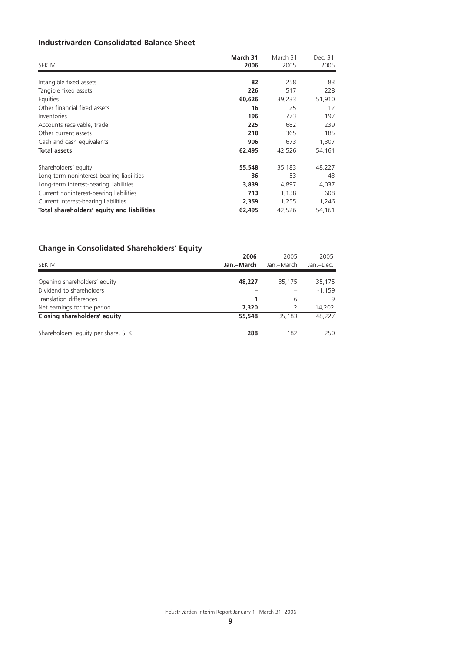## **Industrivärden Consolidated Balance Sheet**

| SEK M                                      | March 31<br>2006 | March 31<br>2005 | Dec. 31<br>2005 |
|--------------------------------------------|------------------|------------------|-----------------|
|                                            |                  |                  |                 |
| Intangible fixed assets                    | 82               | 258              | 83              |
| Tangible fixed assets                      | 226              | 517              | 228             |
| Equities                                   | 60,626           | 39,233           | 51,910          |
| Other financial fixed assets               | 16               | 25               | 12              |
| Inventories                                | 196              | 773              | 197             |
| Accounts receivable, trade                 | 225              | 682              | 239             |
| Other current assets                       | 218              | 365              | 185             |
| Cash and cash equivalents                  | 906              | 673              | 1,307           |
| <b>Total assets</b>                        | 62,495           | 42,526           | 54,161          |
| Shareholders' equity                       | 55,548           | 35,183           | 48,227          |
| Long-term noninterest-bearing liabilities  | 36               | 53               | 43              |
| Long-term interest-bearing liabilities     | 3,839            | 4,897            | 4,037           |
| Current noninterest-bearing liabilities    | 713              | 1,138            | 608             |
| Current interest-bearing liabilities       | 2,359            | 1,255            | 1,246           |
| Total shareholders' equity and liabilities | 62,495           | 42,526           | 54,161          |

## **Change in Consolidated Shareholders' Equity**

|                                     | 2006       | 2005       | 2005      |
|-------------------------------------|------------|------------|-----------|
| SEK M                               | Jan.–March | Jan.-March | Jan.-Dec. |
|                                     |            |            |           |
| Opening shareholders' equity        | 48,227     | 35,175     | 35,175    |
| Dividend to shareholders            |            |            | $-1,159$  |
| Translation differences             |            | 6          | 9         |
| Net earnings for the period         | 7,320      |            | 14,202    |
| Closing shareholders' equity        | 55,548     | 35,183     | 48,227    |
| Shareholders' equity per share, SEK | 288        | 182        | 250       |
|                                     |            |            |           |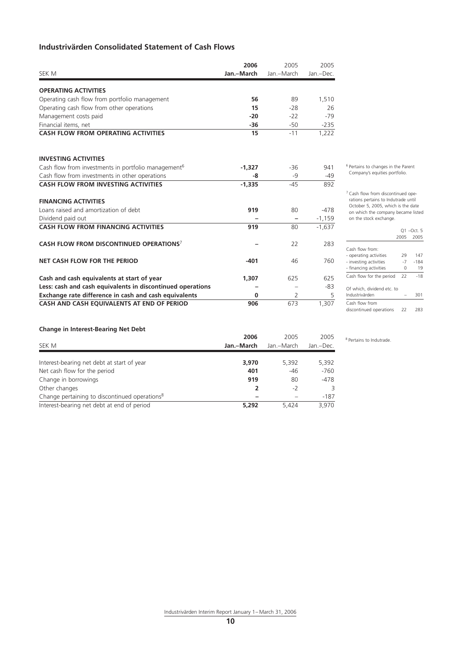## **Industrivärden Consolidated Statement of Cash Flows**

|                                                                 | 2006       | 2005           | 2005      |
|-----------------------------------------------------------------|------------|----------------|-----------|
| SEK M                                                           | Jan.-March | Jan.-March     | Jan.-Dec. |
| <b>OPERATING ACTIVITIES</b>                                     |            |                |           |
| Operating cash flow from portfolio management                   | 56         | 89             | 1,510     |
| Operating cash flow from other operations                       | 15         | $-28$          | 26        |
| Management costs paid                                           | $-20$      | $-22$          | $-79$     |
| Financial items, net                                            | $-36$      | $-50$          | $-235$    |
| <b>CASH FLOW FROM OPERATING ACTIVITIES</b>                      | 15         | $-11$          | 1,222     |
| <b>INVESTING ACTIVITIES</b>                                     |            |                |           |
| Cash flow from investments in portfolio management <sup>6</sup> | $-1,327$   | $-36$          | 941       |
| Cash flow from investments in other operations                  | -8         | $-9$           | $-49$     |
| <b>CASH FLOW FROM INVESTING ACTIVITIES</b>                      | $-1,335$   | $-45$          | 892       |
| <b>FINANCING ACTIVITIES</b>                                     |            |                |           |
| Loans raised and amortization of debt                           | 919        | 80             | $-478$    |
| Dividend paid out                                               |            |                | $-1,159$  |
| <b>CASH FLOW FROM FINANCING ACTIVITIES</b>                      | 919        | 80             | $-1,637$  |
| CASH FLOW FROM DISCONTINUED OPERATIONS <sup>7</sup>             |            | 22             | 283       |
| NET CASH FLOW FOR THE PERIOD                                    | $-401$     | 46             | 760       |
| Cash and cash equivalents at start of year                      | 1,307      | 625            | 625       |
| Less: cash and cash equivalents in discontinued operations      |            |                | -83       |
| Exchange rate difference in cash and cash equivalents           | 0          | $\overline{2}$ | 5         |
| CASH AND CASH EQUIVALENTS AT END OF PERIOD                      | 906        | 673            | 1,307     |

6 Pertains to changes in the Parent Company's equities portfolio.

<sup>7</sup> Cash flow from discontinued operations pertains to Indutrade until October 5, 2005, which is the date on which the company became listed on the stock exchange.

|                                           | 2005 | 01 – Oct. 5<br>2005 |
|-------------------------------------------|------|---------------------|
| Cash flow from:                           |      |                     |
| - operating activities                    | 29   | 147                 |
| - investing activities                    | $-7$ | $-184$              |
| - financing activities                    | 0    | 19                  |
| Cash flow for the period                  | 22   | $-18$               |
| Of which, dividend etc. to                |      |                     |
| Industrivärden                            |      | 301                 |
| Cash flow from<br>discontinued operations | 22   | 283                 |

#### **Change in Interest-Bearing Net Debt**

| SEK M                                                     | 2006<br>Jan.–March | 2005<br>Jan.-March | 2005<br>Jan.-Dec. |
|-----------------------------------------------------------|--------------------|--------------------|-------------------|
|                                                           |                    |                    |                   |
| Interest-bearing net debt at start of year                | 3,970              | 5,392              | 5,392             |
| Net cash flow for the period                              | 401                | $-46$              | $-760$            |
| Change in borrowings                                      | 919                | 80                 | $-478$            |
| Other changes                                             |                    | $-2$               |                   |
| Change pertaining to discontinued operations <sup>8</sup> |                    |                    | $-187$            |
| Interest-bearing net debt at end of period                | 5,292              | 5.424              | 3.970             |

8 Pertains to Indutrade.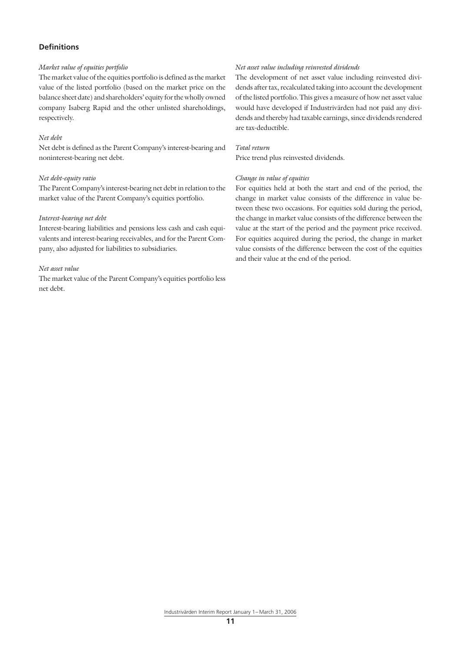#### **Definitions**

#### *Market value of equities portfolio*

The market value of the equities portfolio is defined as the market value of the listed portfolio (based on the market price on the balance sheet date) and shareholders' equity for the wholly owned company Isaberg Rapid and the other unlisted shareholdings, respectively.

#### *Net debt*

Net debt is defined as the Parent Company's interest-bearing and noninterest-bearing net debt.

#### *Net debt-equity ratio*

The Parent Company's interest-bearing net debt in relation to the market value of the Parent Company's equities portfolio.

#### *Interest-bearing net debt*

Interest-bearing liabilities and pensions less cash and cash equivalents and interest-bearing receivables, and for the Parent Company, also adjusted for liabilities to subsidiaries.

#### *Net asset value*

The market value of the Parent Company's equities portfolio less net debt.

#### *Net asset value including reinvested dividends*

The development of net asset value including reinvested dividends after tax, recalculated taking into account the development of the listed portfolio. This gives a measure of how net asset value would have developed if Industrivärden had not paid any dividends and thereby had taxable earnings, since dividends rendered are tax-deductible.

#### *Total return*

Price trend plus reinvested dividends.

#### *Change in value of equities*

For equities held at both the start and end of the period, the change in market value consists of the difference in value between these two occasions. For equities sold during the period, the change in market value consists of the difference between the value at the start of the period and the payment price received. For equities acquired during the period, the change in market value consists of the difference between the cost of the equities and their value at the end of the period.